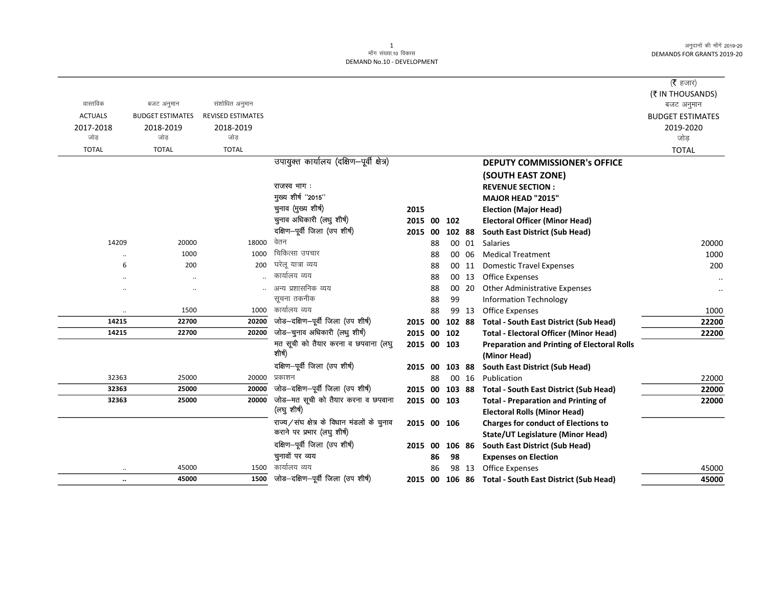|                |                         |                          |                                            |                |     |        |       |                                                    | (रै हजार)               |
|----------------|-------------------------|--------------------------|--------------------------------------------|----------------|-----|--------|-------|----------------------------------------------------|-------------------------|
|                |                         |                          |                                            |                |     |        |       |                                                    | (₹ IN THOUSANDS)        |
| वास्तविक       | बजट अनुमान              | संशोधित अनुमान           |                                            |                |     |        |       |                                                    | बजट अनुमान              |
| <b>ACTUALS</b> | <b>BUDGET ESTIMATES</b> | <b>REVISED ESTIMATES</b> |                                            |                |     |        |       |                                                    | <b>BUDGET ESTIMATES</b> |
| 2017-2018      | 2018-2019               | 2018-2019                |                                            |                |     |        |       |                                                    | 2019-2020               |
| जोड            | जोड                     | जोड                      |                                            |                |     |        |       |                                                    | जोड                     |
| <b>TOTAL</b>   | <b>TOTAL</b>            | <b>TOTAL</b>             |                                            |                |     |        |       |                                                    | <b>TOTAL</b>            |
|                |                         |                          | उपायुक्त कार्यालय (दक्षिण-पूर्वी क्षेत्र)  |                |     |        |       | <b>DEPUTY COMMISSIONER's OFFICE</b>                |                         |
|                |                         |                          |                                            |                |     |        |       | (SOUTH EAST ZONE)                                  |                         |
|                |                         |                          | राजस्व भाग :                               |                |     |        |       | <b>REVENUE SECTION:</b>                            |                         |
|                |                         |                          | मुख्य शीर्ष "2015"                         |                |     |        |       | MAJOR HEAD "2015"                                  |                         |
|                |                         |                          | चुनाव (मुख्य शीर्ष)                        | 2015           |     |        |       | <b>Election (Major Head)</b>                       |                         |
|                |                         |                          | चुनाव अधिकारी (लधु शीर्ष)                  | 2015 00        |     | 102    |       | <b>Electoral Officer (Minor Head)</b>              |                         |
|                |                         |                          | दक्षिण-पूर्वी जिला (उप शीर्ष)              | 2015           | 00  | 102 88 |       | South East District (Sub Head)                     |                         |
| 14209          | 20000                   | 18000                    | वेतन                                       |                | 88  |        | 00 01 | <b>Salaries</b>                                    | 20000                   |
| $\ddotsc$      | 1000                    | 1000                     | चिकित्सा उपचार                             |                | 88  | 00     | 06    | <b>Medical Treatment</b>                           | 1000                    |
| 6              | 200                     | 200                      | घरेलू यात्रा व्यय                          |                | 88  |        | 00 11 | <b>Domestic Travel Expenses</b>                    | 200                     |
| $\cdot$        |                         |                          | कार्यालय व्यय                              |                | 88  |        | 00 13 | Office Expenses                                    | $\ddotsc$               |
| $\cdot$ .      |                         |                          | अन्य प्रशासनिक व्यय                        |                | 88  |        | 00 20 | Other Administrative Expenses                      | $\ddot{\phantom{0}}$    |
|                |                         |                          | सूचना तकनीक                                |                | 88  | 99     |       | <b>Information Technology</b>                      |                         |
| $\cdot\cdot$   | 1500                    | 1000                     | कार्यालय व्यय                              |                | 88  |        | 99 13 | <b>Office Expenses</b>                             | 1000                    |
| 14215          | 22700                   | 20200                    | जोड-दक्षिण-पूर्वी जिला (उप शीर्ष)          | 2015 00        |     | 102 88 |       | <b>Total - South East District (Sub Head)</b>      | 22200                   |
| 14215          | 22700                   | 20200                    | जोड-चुनाव अधिकारी (लधु शीर्ष)              | 2015 00        |     | 102    |       | <b>Total - Electoral Officer (Minor Head)</b>      | 22200                   |
|                |                         |                          | मत सूची को तैयार करना व छपवाना (लघु        | 2015 00 103    |     |        |       | <b>Preparation and Printing of Electoral Rolls</b> |                         |
|                |                         |                          | शीर्ष)                                     |                |     |        |       | (Minor Head)                                       |                         |
|                |                         |                          | दक्षिण-पूर्वी जिला (उप शीर्ष)              | 2015 00 103 88 |     |        |       | South East District (Sub Head)                     |                         |
| 32363          | 25000                   | 20000                    | प्रकाशन                                    |                | 88  |        | 00 16 | Publication                                        | 22000                   |
| 32363          | 25000                   | 20000                    | जोड-दक्षिण-पूर्वी जिला (उप शीर्ष)          | 2015 00        |     | 103 88 |       | <b>Total - South East District (Sub Head)</b>      | 22000                   |
| 32363          | 25000                   | 20000                    | जोड-मत सूची को तैयार करना व छपवाना         | 2015 00 103    |     |        |       | <b>Total - Preparation and Printing of</b>         | 22000                   |
|                |                         |                          | (लघु शीर्ष)                                |                |     |        |       | <b>Electoral Rolls (Minor Head)</b>                |                         |
|                |                         |                          | राज्य/संघ क्षेत्र के विधान मंडलों के चुनाव | 2015 00 106    |     |        |       | <b>Charges for conduct of Elections to</b>         |                         |
|                |                         |                          | कराने पर प्रभार (लघु शीर्ष)                |                |     |        |       | <b>State/UT Legislature (Minor Head)</b>           |                         |
|                |                         |                          | दक्षिण-पूर्वी जिला (उप शीर्ष)              | 2015           | -00 | 106 86 |       | South East District (Sub Head)                     |                         |
|                |                         |                          | चुनावों पर व्यय                            |                | 86  | 98     |       | <b>Expenses on Election</b>                        |                         |
| $\ldots$       | 45000                   | 1500                     | कार्यालय व्यय                              |                | 86  |        | 98 13 | <b>Office Expenses</b>                             | 45000                   |
| $\ddotsc$      | 45000                   | 1500                     | जोड–दक्षिण–पूर्वी जिला (उप शीर्ष)          | 2015           |     |        |       | 00 106 86 Total - South East District (Sub Head)   | 45000                   |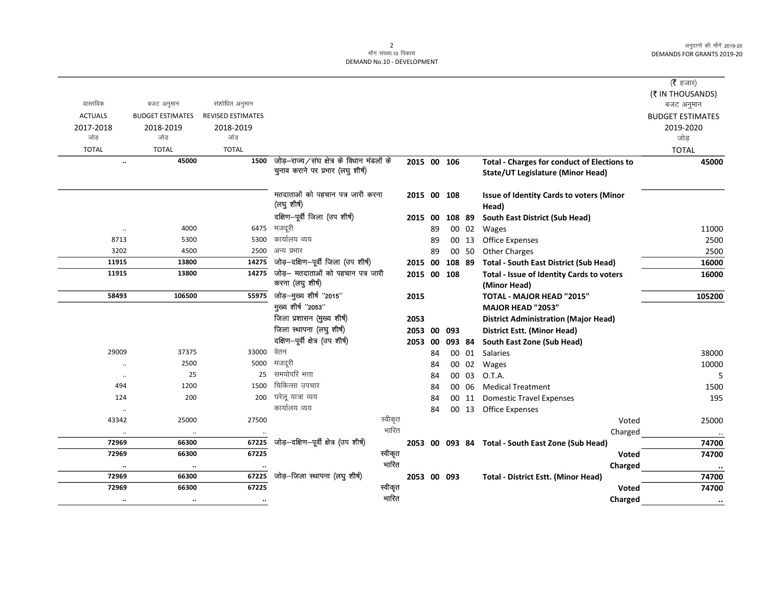## 2<br>माँग संख्या.10 विकास DEMAND No.10 - DEVELOPMENT

|                      |                         |                          |                                                                                |         |             |    |        |       |                                                                                                | ( <b>रै</b> हजार)       |
|----------------------|-------------------------|--------------------------|--------------------------------------------------------------------------------|---------|-------------|----|--------|-------|------------------------------------------------------------------------------------------------|-------------------------|
|                      |                         |                          |                                                                                |         |             |    |        |       |                                                                                                | (そ IN THOUSANDS)        |
| वास्तविक             | बजट अनुमान              | संशोधित अनुमान           |                                                                                |         |             |    |        |       |                                                                                                | बजट अनुमान              |
| <b>ACTUALS</b>       | <b>BUDGET ESTIMATES</b> | <b>REVISED ESTIMATES</b> |                                                                                |         |             |    |        |       |                                                                                                | <b>BUDGET ESTIMATES</b> |
| 2017-2018            | 2018-2019               | 2018-2019                |                                                                                |         |             |    |        |       |                                                                                                | 2019-2020               |
| जोड                  | जोड                     | जोड                      |                                                                                |         |             |    |        |       |                                                                                                | जोड़                    |
| <b>TOTAL</b>         | <b>TOTAL</b>            | <b>TOTAL</b>             |                                                                                |         |             |    |        |       |                                                                                                | <b>TOTAL</b>            |
| $\ddotsc$            | 45000                   | 1500                     | जोड़–राज्य/संघ क्षेत्र के विधान मंडलों के<br>चुनाव कराने पर प्रभार (लघु शीर्ष) |         | 2015 00 106 |    |        |       | <b>Total - Charges for conduct of Elections to</b><br><b>State/UT Legislature (Minor Head)</b> | 45000                   |
|                      |                         |                          | मतदाताओं को पहचान पत्र जारी करना<br>(लघु शीर्ष)                                |         | 2015 00 108 |    |        |       | <b>Issue of Identity Cards to voters (Minor</b><br>Head)                                       |                         |
|                      |                         |                          | दक्षिण-पूर्वी जिला (उप शीर्ष)                                                  |         | 2015 00     |    | 108 89 |       | South East District (Sub Head)                                                                 |                         |
| $\cdot$              | 4000                    |                          | 6475 मजदूरी                                                                    |         |             | 89 |        | 00 02 | Wages                                                                                          | 11000                   |
| 8713                 | 5300                    | 5300                     | कार्यालय व्यय                                                                  |         |             | 89 |        | 00 13 | Office Expenses                                                                                | 2500                    |
| 3202                 | 4500                    | 2500                     | अन्य प्रभार                                                                    |         |             | 89 |        | 00 50 | <b>Other Charges</b>                                                                           | 2500                    |
| 11915                | 13800                   | 14275                    | जोड़-दक्षिण-पूर्वी जिला (उप शीर्ष)                                             |         | 2015 00     |    | 108 89 |       | <b>Total - South East District (Sub Head)</b>                                                  | 16000                   |
| 11915                | 13800                   | 14275                    | जोड़— मतदाताओं को पहचान पत्र जारी                                              |         | 2015 00 108 |    |        |       | Total - Issue of Identity Cards to voters                                                      | 16000                   |
|                      |                         |                          | करना (लघु शीर्ष)                                                               |         |             |    |        |       | (Minor Head)                                                                                   |                         |
| 58493                | 106500                  | 55975                    | जोड़—मुख्य शीर्ष "2015"                                                        |         | 2015        |    |        |       | TOTAL - MAJOR HEAD "2015"                                                                      | 105200                  |
|                      |                         |                          | मुख्य शीर्ष "2053"                                                             |         |             |    |        |       | <b>MAJOR HEAD "2053"</b>                                                                       |                         |
|                      |                         |                          | जिला प्रशासन (मुख्य शीर्ष)                                                     |         | 2053        |    |        |       | <b>District Administration (Major Head)</b>                                                    |                         |
|                      |                         |                          | जिला स्थापना (लघु शीर्ष)                                                       |         | 2053 00     |    | 093    |       | District Estt. (Minor Head)                                                                    |                         |
|                      |                         |                          | दक्षिण-पूर्वी क्षेत्र (उप शीर्ष)                                               |         | 2053 00     |    | 093 84 |       | South East Zone (Sub Head)                                                                     |                         |
| 29009                | 37375                   | 33000                    | वेतन                                                                           |         |             | 84 |        |       | 00 01 Salaries                                                                                 | 38000                   |
|                      | 2500                    | 5000                     | मजदूरी                                                                         |         |             | 84 |        |       | 00 02 Wages                                                                                    | 10000                   |
| $\ddotsc$            | 25                      | 25                       | समयोपरि भत्ता                                                                  |         |             | 84 |        | 00 03 | O.T.A.                                                                                         | 5                       |
| 494                  | 1200                    | 1500                     | चिकित्सा उपचार                                                                 |         |             | 84 |        | 00 06 | <b>Medical Treatment</b>                                                                       | 1500                    |
| 124                  | 200                     | 200                      | घरेलू यात्रा व्यय                                                              |         |             | 84 |        |       | 00 11 Domestic Travel Expenses                                                                 | 195                     |
| $\ddot{\phantom{a}}$ |                         |                          | कार्यालय व्यय                                                                  |         |             | 84 |        |       | 00 13 Office Expenses                                                                          |                         |
| 43342                | 25000                   | 27500                    |                                                                                | स्वीकृत |             |    |        |       | Voted                                                                                          | 25000                   |
| $\ldots$             | $\cdot\cdot$            |                          |                                                                                | भारित   |             |    |        |       | Charged                                                                                        |                         |
| 72969                | 66300                   | 67225                    | जोड़-दक्षिण-पूर्वी क्षेत्र (उप शीर्ष)                                          |         |             |    |        |       | 2053 00 093 84 Total - South East Zone (Sub Head)                                              | 74700                   |
| 72969                | 66300                   | 67225                    |                                                                                | स्वीकृत |             |    |        |       | <b>Voted</b>                                                                                   | 74700                   |
| $\cdots$             | $\cdot\cdot$            |                          |                                                                                | भारित   |             |    |        |       | Charged                                                                                        | $\cdots$                |
| 72969                | 66300                   | 67225                    | जोड़-जिला स्थापना (लघु शीर्ष)                                                  |         | 2053 00 093 |    |        |       | <b>Total - District Estt. (Minor Head)</b>                                                     | 74700                   |
| 72969                | 66300                   | 67225                    |                                                                                | स्वीकृत |             |    |        |       | Voted                                                                                          | 74700                   |
| $\ddotsc$            | $\ddotsc$               | $\ddotsc$                |                                                                                | भारित   |             |    |        |       | Charged                                                                                        | $\bullet\bullet$        |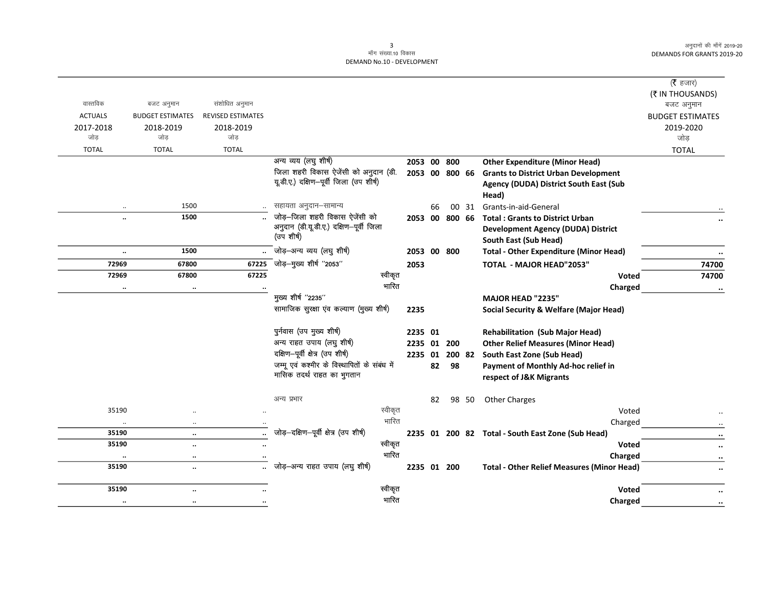## 3<br>माँग संख्या.10 विकास DEMAND No.10 - DEVELOPMENT

|                       |                                      |                          |                                              |         |                |    |    |       |                                                   | (रै हजार)               |
|-----------------------|--------------------------------------|--------------------------|----------------------------------------------|---------|----------------|----|----|-------|---------------------------------------------------|-------------------------|
|                       |                                      |                          |                                              |         |                |    |    |       |                                                   | (そ IN THOUSANDS)        |
| वास्तविक              | बजट अनुमान                           | संशोधित अनुमान           |                                              |         |                |    |    |       |                                                   | बजट अनुमान              |
| <b>ACTUALS</b>        | <b>BUDGET ESTIMATES</b>              | <b>REVISED ESTIMATES</b> |                                              |         |                |    |    |       |                                                   | <b>BUDGET ESTIMATES</b> |
| 2017-2018             | 2018-2019                            | 2018-2019                |                                              |         |                |    |    |       |                                                   | 2019-2020               |
| जोड़                  | जोड़                                 | जोड                      |                                              |         |                |    |    |       |                                                   | जोड़                    |
| <b>TOTAL</b>          | <b>TOTAL</b>                         | <b>TOTAL</b>             |                                              |         |                |    |    |       |                                                   | <b>TOTAL</b>            |
|                       |                                      |                          | अन्य व्यय (लघु शीर्ष)                        |         | 2053 00 800    |    |    |       | <b>Other Expenditure (Minor Head)</b>             |                         |
|                       |                                      |                          | जिला शहरी विकास ऐजेंसी को अनुदान (डी.        |         | 2053 00 800 66 |    |    |       | <b>Grants to District Urban Development</b>       |                         |
|                       |                                      |                          | यूडी.ए.) दक्षिण-पूर्वी जिला (उप शीर्ष)       |         |                |    |    |       | Agency (DUDA) District South East (Sub            |                         |
|                       |                                      |                          |                                              |         |                |    |    |       | Head)                                             |                         |
| $\ldots$              | 1500                                 |                          | सहायता अनुदान–सामान्य                        |         |                | 66 |    | 00 31 | Grants-in-aid-General                             |                         |
| $\ddot{\phantom{a}}$  | 1500                                 |                          | जोड़-जिला शहरी विकास ऐजेंसी को               |         | 2053 00 800 66 |    |    |       | <b>Total: Grants to District Urban</b>            |                         |
|                       |                                      |                          | अनुदान (डी.यू.डी.ए.) दक्षिण-पूर्वी जिला      |         |                |    |    |       | <b>Development Agency (DUDA) District</b>         |                         |
|                       |                                      |                          | (उप शीर्ष)                                   |         |                |    |    |       | South East (Sub Head)                             |                         |
| $\ddotsc$             | 1500                                 |                          | जोड़-अन्य व्यय (लघु शीर्ष)                   |         | 2053 00 800    |    |    |       | <b>Total - Other Expenditure (Minor Head)</b>     | $\ddot{\phantom{a}}$    |
| 72969                 | 67800                                | 67225                    | .<br>जोड़—मुख्य शीर्ष "2053"                 |         | 2053           |    |    |       | TOTAL - MAJOR HEAD"2053"                          | 74700                   |
| 72969                 | 67800                                | 67225                    | स्वीकृत                                      |         |                |    |    |       | Voted                                             | 74700                   |
| $\cdot\cdot$          | $\ddotsc$                            |                          |                                              | भारित   |                |    |    |       | Charged                                           | $\cdots$                |
|                       |                                      |                          | मुख्य शीर्ष "2235"                           |         |                |    |    |       | MAJOR HEAD "2235"                                 |                         |
|                       |                                      |                          | सामाजिक सुरक्षा एव कल्याण (मुख्य शीर्ष)      |         | 2235           |    |    |       | <b>Social Security &amp; Welfare (Major Head)</b> |                         |
|                       |                                      |                          |                                              |         |                |    |    |       |                                                   |                         |
|                       |                                      |                          | पुर्नवास (उप मुख्य शीर्ष)                    |         | 2235 01        |    |    |       | <b>Rehabilitation (Sub Major Head)</b>            |                         |
|                       |                                      |                          | अन्य राहत उपाय (लघु शीर्ष)                   |         | 2235 01 200    |    |    |       | <b>Other Relief Measures (Minor Head)</b>         |                         |
|                       |                                      |                          | दक्षिण-पूर्वी क्षेत्र (उप शीर्ष)             |         | 2235 01        |    |    |       | 200 82 South East Zone (Sub Head)                 |                         |
|                       |                                      |                          | जम्मू एवं कश्मीर के विस्थापितों के संबंध में |         |                | 82 | 98 |       | Payment of Monthly Ad-hoc relief in               |                         |
|                       |                                      |                          | मासिक तदर्थ राहत का भुगतान                   |         |                |    |    |       | respect of J&K Migrants                           |                         |
|                       |                                      |                          |                                              |         |                |    |    |       |                                                   |                         |
|                       |                                      |                          | अन्य प्रभार                                  |         |                | 82 | 98 | 50    | <b>Other Charges</b>                              |                         |
| 35190                 |                                      |                          |                                              | स्वीकृत |                |    |    |       | Voted                                             |                         |
| $\ldots$              | $\ddotsc$                            |                          |                                              | भारित   |                |    |    |       | Charged                                           |                         |
| 35190                 | $\ddotsc$                            |                          | जोड़-दक्षिण-पूर्वी क्षेत्र (उप शीर्ष)        |         |                |    |    |       | 2235 01 200 82 Total - South East Zone (Sub Head) |                         |
| 35190                 | $\ddot{\phantom{a}}$                 |                          | स्वीकृत                                      |         |                |    |    |       | Voted                                             | $\cdot\cdot$            |
|                       |                                      |                          |                                              | भारित   |                |    |    |       | Charged                                           | $\ddot{\phantom{0}}$    |
| $\cdot\cdot$<br>35190 | $\cdot\cdot$<br>$\ddot{\phantom{a}}$ |                          | जोड़-अन्य राहत उपाय (लघु शीर्ष)              |         | 2235 01 200    |    |    |       | <b>Total - Other Relief Measures (Minor Head)</b> | $\cdots$                |
|                       |                                      |                          |                                              |         |                |    |    |       |                                                   |                         |
| 35190                 |                                      |                          |                                              | स्वीकृत |                |    |    |       | Voted                                             |                         |
|                       | $\ddotsc$                            |                          |                                              | भारित   |                |    |    |       |                                                   | $\ddotsc$               |
| $\cdot\cdot$          | $\ddotsc$                            | $\ddotsc$                |                                              |         |                |    |    |       | Charged                                           | $\cdot\cdot$            |